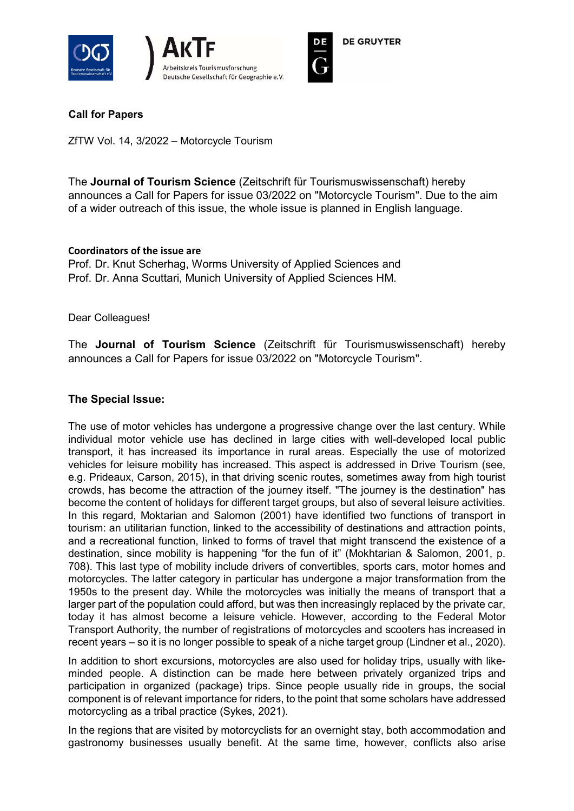





## Call for Papers

ZfTW Vol. 14, 3/2022 – Motorcycle Tourism

The Journal of Tourism Science (Zeitschrift für Tourismuswissenschaft) hereby announces a Call for Papers for issue 03/2022 on "Motorcycle Tourism". Due to the aim of a wider outreach of this issue, the whole issue is planned in English language.

## Coordinators of the issue are

Prof. Dr. Knut Scherhag, Worms University of Applied Sciences and Prof. Dr. Anna Scuttari, Munich University of Applied Sciences HM.

Dear Colleagues!

The Journal of Tourism Science (Zeitschrift für Tourismuswissenschaft) hereby announces a Call for Papers for issue 03/2022 on "Motorcycle Tourism".

## The Special Issue:

The use of motor vehicles has undergone a progressive change over the last century. While individual motor vehicle use has declined in large cities with well-developed local public transport, it has increased its importance in rural areas. Especially the use of motorized vehicles for leisure mobility has increased. This aspect is addressed in Drive Tourism (see, e.g. Prideaux, Carson, 2015), in that driving scenic routes, sometimes away from high tourist crowds, has become the attraction of the journey itself. "The journey is the destination" has become the content of holidays for different target groups, but also of several leisure activities. In this regard, Moktarian and Salomon (2001) have identified two functions of transport in tourism: an utilitarian function, linked to the accessibility of destinations and attraction points, and a recreational function, linked to forms of travel that might transcend the existence of a destination, since mobility is happening "for the fun of it" (Mokhtarian & Salomon, 2001, p. 708). This last type of mobility include drivers of convertibles, sports cars, motor homes and motorcycles. The latter category in particular has undergone a major transformation from the 1950s to the present day. While the motorcycles was initially the means of transport that a larger part of the population could afford, but was then increasingly replaced by the private car, today it has almost become a leisure vehicle. However, according to the Federal Motor Transport Authority, the number of registrations of motorcycles and scooters has increased in recent years – so it is no longer possible to speak of a niche target group (Lindner et al., 2020).

In addition to short excursions, motorcycles are also used for holiday trips, usually with likeminded people. A distinction can be made here between privately organized trips and participation in organized (package) trips. Since people usually ride in groups, the social component is of relevant importance for riders, to the point that some scholars have addressed motorcycling as a tribal practice (Sykes, 2021).

In the regions that are visited by motorcyclists for an overnight stay, both accommodation and gastronomy businesses usually benefit. At the same time, however, conflicts also arise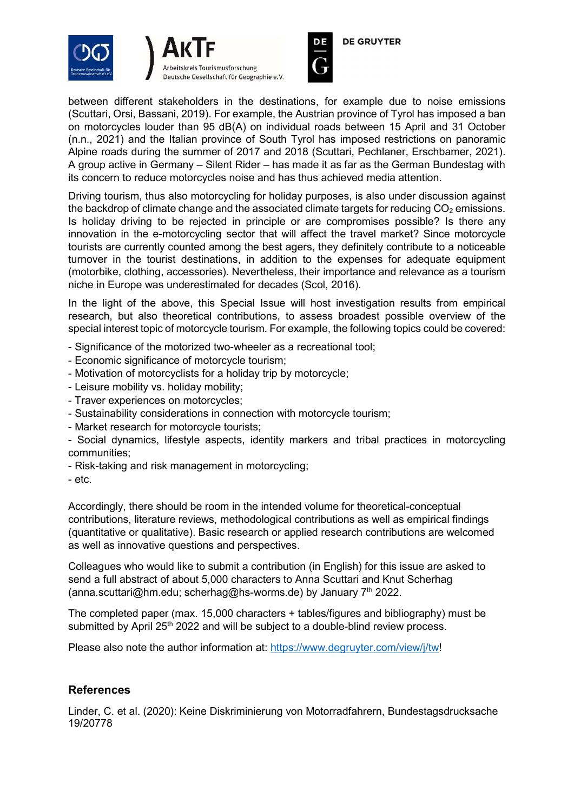





**DE GRUYTER** 

between different stakeholders in the destinations, for example due to noise emissions (Scuttari, Orsi, Bassani, 2019). For example, the Austrian province of Tyrol has imposed a ban on motorcycles louder than 95 dB(A) on individual roads between 15 April and 31 October (n.n., 2021) and the Italian province of South Tyrol has imposed restrictions on panoramic Alpine roads during the summer of 2017 and 2018 (Scuttari, Pechlaner, Erschbamer, 2021). A group active in Germany – Silent Rider – has made it as far as the German Bundestag with its concern to reduce motorcycles noise and has thus achieved media attention.

Driving tourism, thus also motorcycling for holiday purposes, is also under discussion against the backdrop of climate change and the associated climate targets for reducing  $CO<sub>2</sub>$  emissions. Is holiday driving to be rejected in principle or are compromises possible? Is there any innovation in the e-motorcycling sector that will affect the travel market? Since motorcycle tourists are currently counted among the best agers, they definitely contribute to a noticeable turnover in the tourist destinations, in addition to the expenses for adequate equipment (motorbike, clothing, accessories). Nevertheless, their importance and relevance as a tourism niche in Europe was underestimated for decades (Scol, 2016).

In the light of the above, this Special Issue will host investigation results from empirical research, but also theoretical contributions, to assess broadest possible overview of the special interest topic of motorcycle tourism. For example, the following topics could be covered:

- Significance of the motorized two-wheeler as a recreational tool;
- Economic significance of motorcycle tourism;
- Motivation of motorcyclists for a holiday trip by motorcycle;
- Leisure mobility vs. holiday mobility;
- Traver experiences on motorcycles;
- Sustainability considerations in connection with motorcycle tourism;
- Market research for motorcycle tourists;

- Social dynamics, lifestyle aspects, identity markers and tribal practices in motorcycling communities;

- Risk-taking and risk management in motorcycling;
- etc.

Accordingly, there should be room in the intended volume for theoretical-conceptual contributions, literature reviews, methodological contributions as well as empirical findings (quantitative or qualitative). Basic research or applied research contributions are welcomed as well as innovative questions and perspectives.

Colleagues who would like to submit a contribution (in English) for this issue are asked to send a full abstract of about 5,000 characters to Anna Scuttari and Knut Scherhag (anna.scuttari@hm.edu; scherhag@hs-worms.de) by January  $7<sup>th</sup>$  2022.

The completed paper (max. 15,000 characters + tables/figures and bibliography) must be submitted by April 25<sup>th</sup> 2022 and will be subject to a double-blind review process.

Please also note the author information at: https://www.degruyter.com/view/j/tw!

## **References**

Linder, C. et al. (2020): Keine Diskriminierung von Motorradfahrern, Bundestagsdrucksache 19/20778